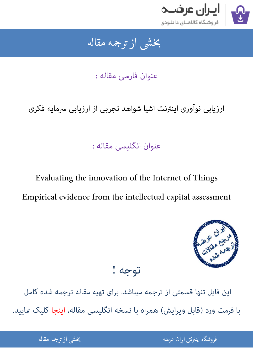

جمه مقاله شی از تر بخشی از :

عنوان فارسی مقاله :

ارزیابی نوآوری اینترنت اشیا شواهد تجربی از ارزیابی سرمایه فکری

عنوان انگلیسی مقاله :

Evaluating the innovation of the Internet of Things Empirical evidence from the intellectual capital assessment



## توجه !

این فایل تنها قسمتی از ترجمه میباشد. برای تهیه مقاله ترجمه شده کامل با فرمت ورد (قابل ویرایش) همراه با نسخه انگلیسی مقاله، اینجا کلیک غایید.

شی از ترجمه <mark>مقا</mark>له